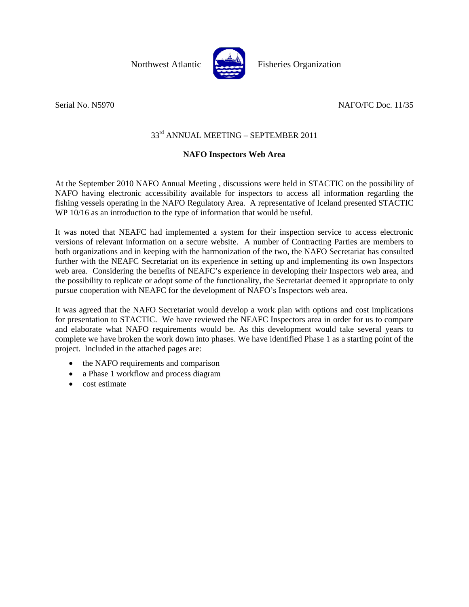

Northwest Atlantic Fisheries Organization

# Serial No. N5970 NAFO/FC Doc. 11/35

# 33rd ANNUAL MEETING – SEPTEMBER 2011

## **NAFO Inspectors Web Area**

At the September 2010 NAFO Annual Meeting , discussions were held in STACTIC on the possibility of NAFO having electronic accessibility available for inspectors to access all information regarding the fishing vessels operating in the NAFO Regulatory Area. A representative of Iceland presented STACTIC WP 10/16 as an introduction to the type of information that would be useful.

It was noted that NEAFC had implemented a system for their inspection service to access electronic versions of relevant information on a secure website. A number of Contracting Parties are members to both organizations and in keeping with the harmonization of the two, the NAFO Secretariat has consulted further with the NEAFC Secretariat on its experience in setting up and implementing its own Inspectors web area. Considering the benefits of NEAFC's experience in developing their Inspectors web area, and the possibility to replicate or adopt some of the functionality, the Secretariat deemed it appropriate to only pursue cooperation with NEAFC for the development of NAFO's Inspectors web area.

It was agreed that the NAFO Secretariat would develop a work plan with options and cost implications for presentation to STACTIC. We have reviewed the NEAFC Inspectors area in order for us to compare and elaborate what NAFO requirements would be. As this development would take several years to complete we have broken the work down into phases. We have identified Phase 1 as a starting point of the project. Included in the attached pages are:

- the NAFO requirements and comparison
- a Phase 1 workflow and process diagram
- cost estimate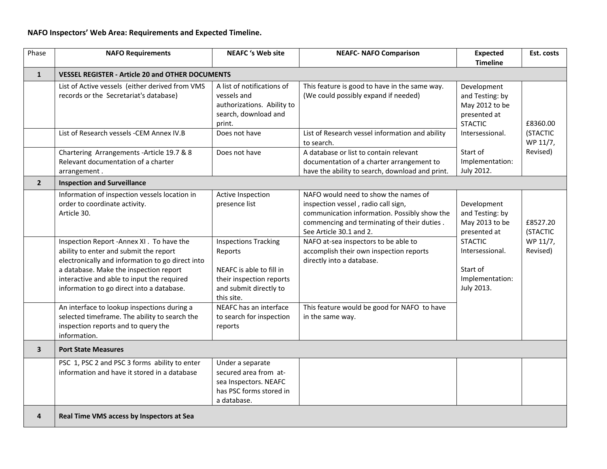### **NAFO Inspectors' Web Area: Requirements and Expected Timeline.**

| Phase          | <b>NAFO Requirements</b>                                                                                                                                                                                                                                                      | <b>NEAFC</b> 's Web site                                                                                                               | <b>NEAFC- NAFO Comparison</b>                                                                                                                                                                         | <b>Expected</b><br><b>Timeline</b>                                                 | Est. costs           |
|----------------|-------------------------------------------------------------------------------------------------------------------------------------------------------------------------------------------------------------------------------------------------------------------------------|----------------------------------------------------------------------------------------------------------------------------------------|-------------------------------------------------------------------------------------------------------------------------------------------------------------------------------------------------------|------------------------------------------------------------------------------------|----------------------|
| $\mathbf{1}$   | <b>VESSEL REGISTER - Article 20 and OTHER DOCUMENTS</b>                                                                                                                                                                                                                       |                                                                                                                                        |                                                                                                                                                                                                       |                                                                                    |                      |
|                | List of Active vessels (either derived from VMS<br>records or the Secretariat's database)                                                                                                                                                                                     | A list of notifications of<br>vessels and<br>authorizations. Ability to<br>search, download and<br>print.                              | This feature is good to have in the same way.<br>(We could possibly expand if needed)                                                                                                                 | Development<br>and Testing: by<br>May 2012 to be<br>presented at<br><b>STACTIC</b> | £8360.00             |
|                | List of Research vessels -CEM Annex IV.B                                                                                                                                                                                                                                      | Does not have                                                                                                                          | List of Research vessel information and ability<br>to search.                                                                                                                                         | Intersessional.                                                                    | (STACTIC<br>WP 11/7, |
|                | Chartering Arrangements - Article 19.7 & 8<br>Relevant documentation of a charter<br>arrangement.                                                                                                                                                                             | Does not have                                                                                                                          | A database or list to contain relevant<br>documentation of a charter arrangement to<br>have the ability to search, download and print.                                                                | Start of<br>Implementation:<br>July 2012.                                          | Revised)             |
| 2 <sup>1</sup> | <b>Inspection and Surveillance</b>                                                                                                                                                                                                                                            |                                                                                                                                        |                                                                                                                                                                                                       |                                                                                    |                      |
|                | Information of inspection vessels location in<br>order to coordinate activity.<br>Article 30.                                                                                                                                                                                 | Active Inspection<br>presence list                                                                                                     | NAFO would need to show the names of<br>inspection vessel, radio call sign,<br>communication information. Possibly show the<br>commencing and terminating of their duties.<br>See Article 30.1 and 2. | Development<br>and Testing: by<br>May 2013 to be<br>presented at                   | £8527.20<br>(STACTIC |
|                | Inspection Report - Annex XI . To have the<br>ability to enter and submit the report<br>electronically and information to go direct into<br>a database. Make the inspection report<br>interactive and able to input the required<br>information to go direct into a database. | <b>Inspections Tracking</b><br>Reports<br>NEAFC is able to fill in<br>their inspection reports<br>and submit directly to<br>this site. | NAFO at-sea inspectors to be able to<br>accomplish their own inspection reports<br>directly into a database.                                                                                          | <b>STACTIC</b><br>Intersessional.<br>Start of<br>Implementation:<br>July 2013.     | WP 11/7,<br>Revised) |
|                | An interface to lookup inspections during a<br>selected timeframe. The ability to search the<br>inspection reports and to query the<br>information.                                                                                                                           | NEAFC has an interface<br>to search for inspection<br>reports                                                                          | This feature would be good for NAFO to have<br>in the same way.                                                                                                                                       |                                                                                    |                      |
| 3              | <b>Port State Measures</b>                                                                                                                                                                                                                                                    |                                                                                                                                        |                                                                                                                                                                                                       |                                                                                    |                      |
|                | PSC 1, PSC 2 and PSC 3 forms ability to enter<br>information and have it stored in a database                                                                                                                                                                                 | Under a separate<br>secured area from at-<br>sea Inspectors. NEAFC<br>has PSC forms stored in<br>a database.                           |                                                                                                                                                                                                       |                                                                                    |                      |
| 4              | Real Time VMS access by Inspectors at Sea                                                                                                                                                                                                                                     |                                                                                                                                        |                                                                                                                                                                                                       |                                                                                    |                      |